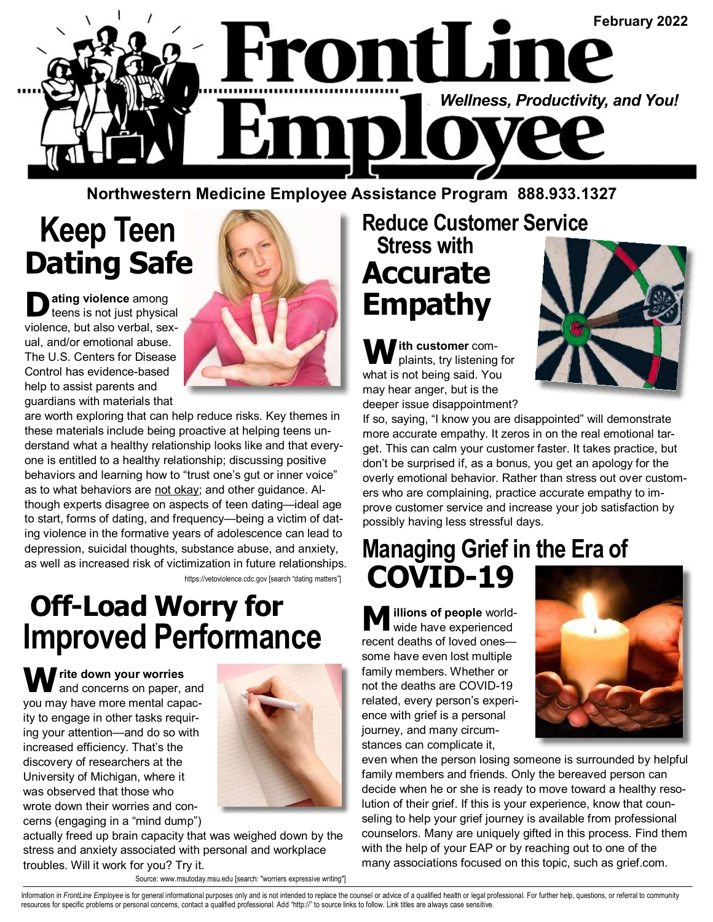

**Northwestern Medicine Employee Assistance Program 888.933.1327** 

# **Keep Teen Dating Safe**

 $\sum$  **ating violence** among<br>teens is not just physical violence, but also verbal, sexual, and/or emotional abuse. The U.S. Centers for Disease Control has evidence-based help to assist parents and guardians with materials that



are worth exploring that can help reduce risks. Key themes in these materials include being proactive at helping teens understand what a healthy relationship looks like and that everyone is entitled to a healthy relationship; discussing positive behaviors and learning how to "trust one's gut or inner voice" as to what behaviors are not okay; and other guidance. Although experts disagree on aspects of teen dating—ideal age to start, forms of dating, and frequency—being a victim of dating violence in the formative years of adolescence can lead to depression, suicidal thoughts, substance abuse, and anxiety, as well as increased risk of victimization in future relationships.

https://vetoviolence.cdc.gov [search "dating matters"]

### **Off-Load Worry for Improved Performance**

**W rite down your worries** and concerns on paper, and you may have more mental capacity to engage in other tasks requiring your attention—and do so with increased efficiency. That's the discovery of researchers at the University of Michigan, where it was observed that those who wrote down their worries and concerns (engaging in a "mind dump")



actually freed up brain capacity that was weighed down by the stress and anxiety associated with personal and workplace troubles. Will it work for you? Try it.

Source: www.msutoday.msu.edu [search: "worriers expressive writing"]

### **Reduce Customer Service Stress with Accurate Empathy**

**W ith customer** complaints, try listening for what is not being said. You may hear anger, but is the deeper issue disappointment?



If so, saying, "I know you are disappointed" will demonstrate more accurate empathy. It zeros in on the real emotional target. This can calm your customer faster. It takes practice, but don't be surprised if, as a bonus, you get an apology for the overly emotional behavior. Rather than stress out over customers who are complaining, practice accurate empathy to improve customer service and increase your job satisfaction by possibly having less stressful days.

#### **Managing Grief in the Era of COVID-19**

**illions of people world**wide have experienced recent deaths of loved ones some have even lost multiple family members. Whether or not the deaths are COVID-19 related, every person's experience with grief is a personal journey, and many circumstances can complicate it,



even when the person losing someone is surrounded by helpful family members and friends. Only the bereaved person can decide when he or she is ready to move toward a healthy resolution of their grief. If this is your experience, know that counseling to help your grief journey is available from professional counselors. Many are uniquely gifted in this process. Find them with the help of your EAP or by reaching out to one of the many associations focused on this topic, such as grief.com.

Information in FrontLine Employee is for general informational purposes only and is not intended to replace the counsel or advice of a qualified health or legal professional. For further help, questions, or referral to com resources for specific problems or personal concerns, contact a qualified professional. Add "http://" to source links to follow. Link titles are always case sensitive.